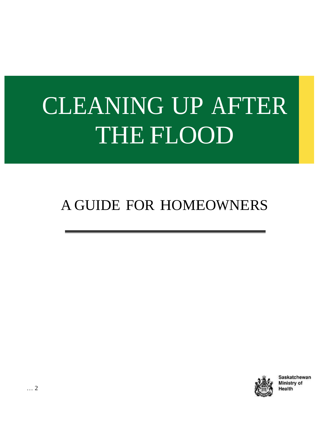# CLEANING UP AFTER THE FLOOD

# A GUIDE FOR HOMEOWNERS



Saskatchewan Ministry of Health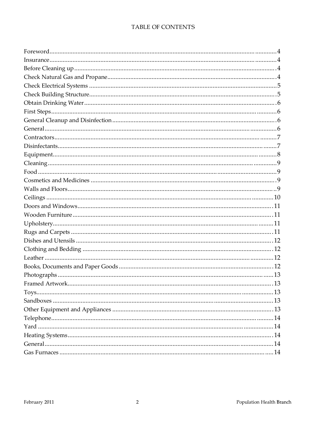#### TABLE OF CONTENTS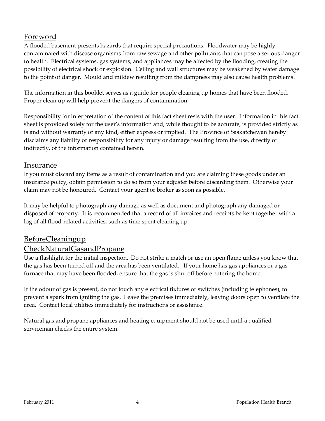## Foreword

A flooded basement presents hazards that require special precautions. Floodwater may be highly contaminated with disease organisms from raw sewage and other pollutants that can pose a serious danger to health. Electrical systems, gas systems, and appliances may be affected by the flooding, creating the possibility of electrical shock or explosion. Ceiling and wall structures may be weakened by water damage to the point of danger. Mould and mildew resulting from the dampness may also cause health problems.

The information in this booklet serves as a guide for people cleaning up homes that have been flooded. Proper clean up will help prevent the dangers of contamination.

Responsibility for interpretation of the content of this fact sheet rests with the user. Information in this fact sheet is provided solely for the user's information and, while thought to be accurate, is provided strictly as is and without warranty of any kind, either express or implied. The Province of Saskatchewan hereby disclaims any liability or responsibility for any injury or damage resulting from the use, directly or indirectly, of the information contained herein.

#### Insurance

If you must discard any items as a result of contamination and you are claiming these goods under an insurance policy, obtain permission to do so from your adjuster before discarding them. Otherwise your claim may not be honoured. Contact your agent or broker as soon as possible.

It may be helpful to photograph any damage as well as document and photograph any damaged or disposed of property. It is recommended that a record of all invoices and receipts be kept together with a log of all flood-related activities, such as time spent cleaning up.

### BeforeCleaningup

### CheckNaturalGasandPropane

Use a flashlight for the initial inspection. Do not strike a match or use an open flame unless you know that the gas has been turned off and the area has been ventilated. If your home has gas appliances or a gas furnace that may have been flooded, ensure that the gas is shut off before entering the home.

If the odour of gas is present, do not touch any electrical fixtures or switches (including telephones), to prevent a spark from igniting the gas. Leave the premises immediately, leaving doors open to ventilate the area. Contact local utilities immediately for instructions or assistance.

Natural gas and propane appliances and heating equipment should not be used until a qualified serviceman checks the entire system.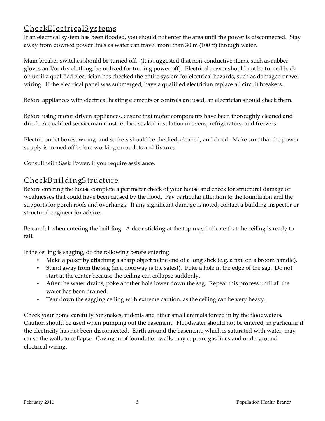# CheckElectricalS ystems

If an electrical system has been flooded, you should not enter the area until the power is disconnected. Stay away from downed power lines as water can travel more than 30 m (100 ft) through water.

Main breaker switches should be turned off. (It is suggested that non-conductive items, such as rubber gloves and/or dry clothing, be utilized for turning power off). Electrical power should not be turned back on until a qualified electrician has checked the entire system for electrical hazards, such as damaged or wet wiring. If the electrical panel was submerged, have a qualified electrician replace all circuit breakers.

Before appliances with electrical heating elements or controls are used, an electrician should check them.

Before using motor driven appliances, ensure that motor components have been thoroughly cleaned and dried. A qualified serviceman must replace soaked insulation in ovens, refrigerators, and freezers.

Electric outlet boxes, wiring, and sockets should be checked, cleaned, and dried. Make sure that the power supply is turned off before working on outlets and fixtures.

Consult with Sask Power, if you require assistance.

### CheckBuildingStructure

Before entering the house complete a perimeter check of your house and check for structural damage or weaknesses that could have been caused by the flood. Pay particular attention to the foundation and the supports for porch roofs and overhangs. If any significant damage is noted, contact a building inspector or structural engineer for advice.

Be careful when entering the building. A door sticking at the top may indicate that the ceiling is ready to fall.

If the ceiling is sagging, do the following before entering:

- Make a poker by attaching a sharp object to the end of a long stick (e.g. a nail on a broom handle).
- Stand away from the sag (in a doorway is the safest). Poke a hole in the edge of the sag. Do not start at the center because the ceiling can collapse suddenly.
- After the water drains, poke another hole lower down the sag. Repeat this process until all the water has been drained.
- Tear down the sagging ceiling with extreme caution, as the ceiling can be very heavy.

Check your home carefully for snakes, rodents and other small animals forced in by the floodwaters. Caution should be used when pumping out the basement. Floodwater should not be entered, in particular if the electricity has not been disconnected. Earth around the basement, which is saturated with water, may cause the walls to collapse. Caving in of foundation walls may rupture gas lines and underground electrical wiring.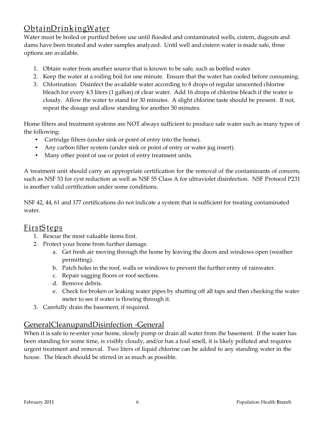# ObtainDrinkingWater

Water must be boiled or purified before use until flooded and contaminated wells, cistern, dugouts and dams have been treated and water samples analyzed. Until well and cistern water is made safe, three options are available.

- 1. Obtain water from another source that is known to be safe, such as bottled water.
- 2. Keep the water at a roiling boil for one minute. Ensure that the water has cooled before consuming.
- 3. Chlorination: Disinfect the available water according to 8 drops of regular unscented chlorine bleach for every 4.5 liters (1 gallon) of clear water. Add 16 drops of chlorine bleach if the water is cloudy. Allow the water to stand for 30 minutes. A slight chlorine taste should be present. If not, repeat the dosage and allow standing for another 30 minutes.

Home filters and treatment systems are NOT always sufficient to produce safe water such as many types of the following:

- Cartridge filters (under sink or point of entry into the home).
- Any carbon filter system (under sink or point of entry or water jug insert).
- Many other point of use or point of entry treatment units.

A treatment unit should carry an appropriate certification for the removal of the contaminants of concern, such as NSF 53 for cyst reduction as well as NSF 55 Class A for ultraviolet disinfection. NSF Protocol P231 is another valid certification under some conditions.

NSF 42, 44, 61 and 177 certifications do not indicate a system that is sufficient for treating contaminated water.

### FirstS teps

- 1. Rescue the most valuable items first.
- 2. Protect your home from further damage.
	- a. Get fresh air moving through the home by leaving the doors and windows open (weather permitting).
	- b. Patch holes in the roof, walls or windows to prevent the further entry of rainwater.
	- c. Repair sagging floors or roof sections.
	- d. Remove debris.
	- e. Check for broken or leaking water pipes by shutting off all taps and then checking the water meter to see if water is flowing through it.
- 3. Carefully drain the basement, if required.

### GeneralCleanupandDisinfection -General

When it is safe to re-enter your home, slowly pump or drain all water from the basement. If the water has been standing for some time, is visibly cloudy, and/or has a foul smell, it is likely polluted and requires urgent treatment and removal. Two liters of liquid chlorine can be added to any standing water in the house. The bleach should be stirred in as much as possible.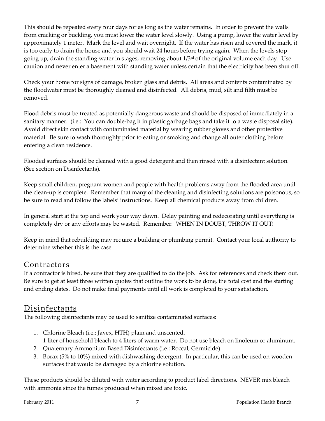This should be repeated every four days for as long as the water remains. In order to prevent the walls from cracking or buckling, you must lower the water level slowly. Using a pump, lower the water level by approximately 1 meter. Mark the level and wait overnight. If the water has risen and covered the mark, it is too early to drain the house and you should wait 24 hours before trying again. When the levels stop going up, drain the standing water in stages, removing about 1/3 rd of the original volume each day. Use caution and never enter a basement with standing water unless certain that the electricity has been shut off.

Check your home for signs of damage, broken glass and debris. All areas and contents contaminated by the floodwater must be thoroughly cleaned and disinfected. All debris, mud, silt and filth must be removed.

Flood debris must be treated as potentially dangerous waste and should be disposed of immediately in a sanitary manner. (i.e.: You can double-bag it in plastic garbage bags and take it to a waste disposal site). Avoid direct skin contact with contaminated material by wearing rubber gloves and other protective material. Be sure to wash thoroughly prior to eating or smoking and change all outer clothing before entering a clean residence.

Flooded surfaces should be cleaned with a good detergent and then rinsed with a disinfectant solution. (See section on Disinfectants).

Keep small children, pregnant women and people with health problems away from the flooded area until the clean-up is complete. Remember that many of the cleaning and disinfecting solutions are poisonous, so be sure to read and follow the labels' instructions. Keep all chemical products away from children.

In general start at the top and work your way down. Delay painting and redecorating until everything is completely dry or any efforts may be wasted. Remember: WHEN IN DOUBT, THROW IT OUT!

Keep in mind that rebuilding may require a building or plumbing permit. Contact your local authority to determine whether this is the case.

### Contractors

If a contractor is hired, be sure that they are qualified to do the job. Ask for references and check them out. Be sure to get at least three written quotes that outline the work to be done, the total cost and the starting and ending dates. Do not make final payments until all work is completed to your satisfaction.

# Disinfectants

The following disinfectants may be used to sanitize contaminated surfaces:

- 1. Chlorine Bleach (i.e.: Javex, HTH) plain and unscented. 1 liter of household bleach to 4 liters of warm water. Do not use bleach on linoleum or aluminum.
- 2. Quaternary Ammonium Based Disinfectants (i.e.: Roccal, Germicide).
- 3. Borax (5% to 10%) mixed with dishwashing detergent. In particular, this can be used on wooden surfaces that would be damaged by a chlorine solution.

These products should be diluted with water according to product label directions. NEVER mix bleach with ammonia since the fumes produced when mixed are toxic.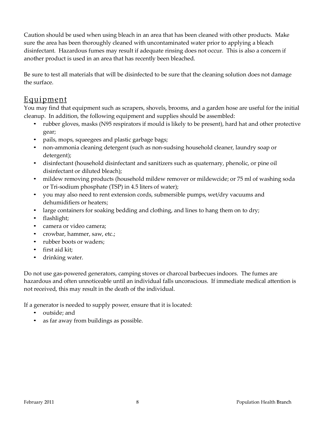Caution should be used when using bleach in an area that has been cleaned with other products. Make sure the area has been thoroughly cleaned with uncontaminated water prior to applying a bleach disinfectant. Hazardous fumes may result if adequate rinsing does not occur. This is also a concern if another product is used in an area that has recently been bleached.

Be sure to test all materials that will be disinfected to be sure that the cleaning solution does not damage the surface.

#### Equipment

You may find that equipment such as scrapers, shovels, brooms, and a garden hose are useful for the initial cleanup. In addition, the following equipment and supplies should be assembled:

- rubber gloves, masks (N95 respirators if mould is likely to be present), hard hat and other protective gear;
- pails, mops, squeegees and plastic garbage bags;
- non-ammonia cleaning detergent (such as non-sudsing household cleaner, laundry soap or detergent);
- disinfectant (household disinfectant and sanitizers such as quaternary, phenolic, or pine oil disinfectant or diluted bleach);
- mildew removing products (household mildew remover or mildewcide; or 75 ml of washing soda or Tri-sodium phosphate (TSP) in 4.5 liters of water);
- you may also need to rent extension cords, submersible pumps, wet/dry vacuums and dehumidifiers or heaters;
- large containers for soaking bedding and clothing, and lines to hang them on to dry;
- flashlight;
- camera or video camera;
- crowbar, hammer, saw, etc.;
- rubber boots or waders;
- first aid kit;
- drinking water.

Do not use gas-powered generators, camping stoves or charcoal barbecues indoors. The fumes are hazardous and often unnoticeable until an individual falls unconscious. If immediate medical attention is not received, this may result in the death of the individual.

If a generator is needed to supply power, ensure that it is located:

- outside; and
- as far away from buildings as possible.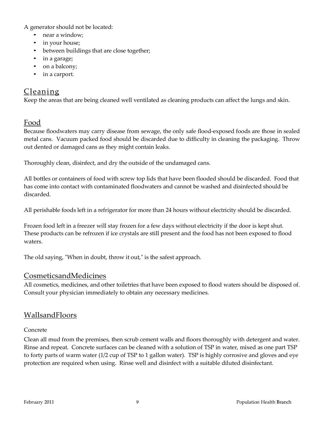A generator should not be located:

- near a window;
- in your house;
- between buildings that are close together;
- in a garage;
- on a balcony;
- in a carport.

# Cleaning

Keep the areas that are being cleaned well ventilated as cleaning products can affect the lungs and skin.

### Food

Because floodwaters may carry disease from sewage, the only safe flood-exposed foods are those in sealed metal cans. Vacuum packed food should be discarded due to difficulty in cleaning the packaging. Throw out dented or damaged cans as they might contain leaks.

Thoroughly clean, disinfect, and dry the outside of the undamaged cans.

All bottles or containers of food with screw top lids that have been flooded should be discarded. Food that has come into contact with contaminated floodwaters and cannot be washed and disinfected should be discarded.

All perishable foods left in a refrigerator for more than 24 hours without electricity should be discarded.

Frozen food left in a freezer will stay frozen for a few days without electricity if the door is kept shut. These products can be refrozen if ice crystals are still present and the food has not been exposed to flood waters.

The old saying, "When in doubt, throw it out," is the safest approach.

#### CosmeticsandMedicines

All cosmetics, medicines, and other toiletries that have been exposed to flood waters should be disposed of. Consult your physician immediately to obtain any necessary medicines.

### WallsandFloors

#### Concrete

Clean all mud from the premises, then scrub cement walls and floors thoroughly with detergent and water. Rinse and repeat. Concrete surfaces can be cleaned with a solution of TSP in water, mixed as one part TSP to forty parts of warm water (1/2 cup of TSP to 1 gallon water). TSP is highly corrosive and gloves and eye protection are required when using. Rinse well and disinfect with a suitable diluted disinfectant.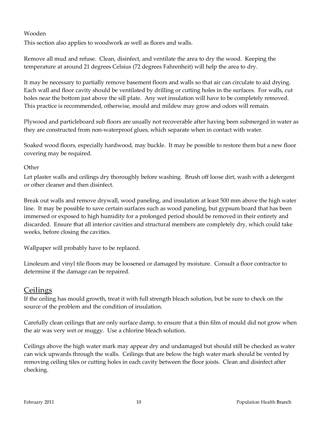#### Wooden

This section also applies to woodwork as well as floors and walls.

Remove all mud and refuse. Clean, disinfect, and ventilate the area to dry the wood. Keeping the temperature at around 21 degrees Celsius (72 degrees Fahrenheit) will help the area to dry.

It may be necessary to partially remove basement floors and walls so that air can circulate to aid drying. Each wall and floor cavity should be ventilated by drilling or cutting holes in the surfaces. For walls, cut holes near the bottom just above the sill plate. Any wet insulation will have to be completely removed. This practice is recommended, otherwise, mould and mildew may grow and odors will remain.

Plywood and particleboard sub floors are usually not recoverable after having been submerged in water as they are constructed from non-waterproof glues, which separate when in contact with water.

Soaked wood floors, especially hardwood, may buckle. It may be possible to restore them but a new floor covering may be required.

#### **Other**

Let plaster walls and ceilings dry thoroughly before washing. Brush off loose dirt, wash with a detergent or other cleaner and then disinfect.

Break out walls and remove drywall, wood paneling, and insulation at least 500 mm above the high water line. It may be possible to save certain surfaces such as wood paneling, but gypsum board that has been immersed or exposed to high humidity for a prolonged period should be removed in their entirety and discarded. Ensure that all interior cavities and structural members are completely dry, which could take weeks, before closing the cavities.

Wallpaper will probably have to be replaced.

Linoleum and vinyl tile floors may be loosened or damaged by moisture. Consult a floor contractor to determine if the damage can be repaired.

#### Ceilings

If the ceiling has mould growth, treat it with full strength bleach solution, but be sure to check on the source of the problem and the condition of insulation.

Carefully clean ceilings that are only surface damp, to ensure that a thin film of mould did not grow when the air was very wet or muggy. Use a chlorine bleach solution.

Ceilings above the high water mark may appear dry and undamaged but should still be checked as water can wick upwards through the walls. Ceilings that are below the high water mark should be vented by removing ceiling tiles or cutting holes in each cavity between the floor joists. Clean and disinfect after checking.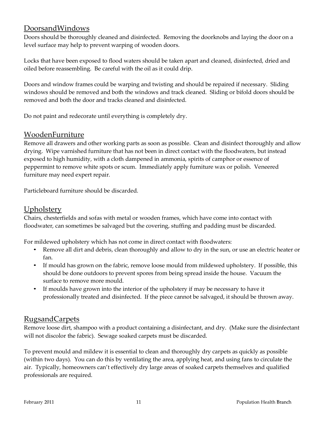#### DoorsandWindows

Doors should be thoroughly cleaned and disinfected. Removing the doorknobs and laying the door on a level surface may help to prevent warping of wooden doors.

Locks that have been exposed to flood waters should be taken apart and cleaned, disinfected, dried and oiled before reassembling. Be careful with the oil as it could drip.

Doors and window frames could be warping and twisting and should be repaired if necessary. Sliding windows should be removed and both the windows and track cleaned. Sliding or bifold doors should be removed and both the door and tracks cleaned and disinfected.

Do not paint and redecorate until everything is completely dry.

### WoodenFurniture

Remove all drawers and other working parts as soon as possible. Clean and disinfect thoroughly and allow drying. Wipe varnished furniture that has not been in direct contact with the floodwaters, but instead exposed to high humidity, with a cloth dampened in ammonia, spirits of camphor or essence of peppermint to remove white spots or scum. Immediately apply furniture wax or polish. Veneered furniture may need expert repair.

Particleboard furniture should be discarded.

#### Upholstery

Chairs, chesterfields and sofas with metal or wooden frames, which have come into contact with floodwater, can sometimes be salvaged but the covering, stuffing and padding must be discarded.

For mildewed upholstery which has not come in direct contact with floodwaters:

- Remove all dirt and debris, clean thoroughly and allow to dry in the sun, or use an electric heater or fan.
- If mould has grown on the fabric, remove loose mould from mildewed upholstery. If possible, this should be done outdoors to prevent spores from being spread inside the house. Vacuum the surface to remove more mould.
- If moulds have grown into the interior of the upholstery if may be necessary to have it professionally treated and disinfected. If the piece cannot be salvaged, it should be thrown away.

### RugsandCarpets

Remove loose dirt, shampoo with a product containing a disinfectant, and dry. (Make sure the disinfectant will not discolor the fabric). Sewage soaked carpets must be discarded.

To prevent mould and mildew it is essential to clean and thoroughly dry carpets as quickly as possible (within two days). You can do this by ventilating the area, applying heat, and using fans to circulate the air. Typically, homeowners can't effectively dry large areas of soaked carpets themselves and qualified professionals are required.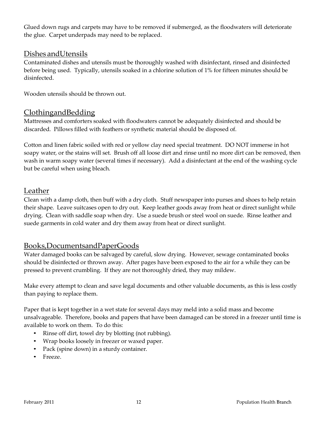Glued down rugs and carpets may have to be removed if submerged, as the floodwaters will deteriorate the glue. Carpet underpads may need to be replaced.

#### Dishes andUtensils

Contaminated dishes and utensils must be thoroughly washed with disinfectant, rinsed and disinfected before being used. Typically, utensils soaked in a chlorine solution of 1% for fifteen minutes should be disinfected.

Wooden utensils should be thrown out.

#### ClothingandBedding

Mattresses and comforters soaked with floodwaters cannot be adequately disinfected and should be discarded. Pillows filled with feathers or synthetic material should be disposed of.

Cotton and linen fabric soiled with red or yellow clay need special treatment. DO NOT immerse in hot soapy water, or the stains will set. Brush off all loose dirt and rinse until no more dirt can be removed, then wash in warm soapy water (several times if necessary). Add a disinfectant at the end of the washing cycle but be careful when using bleach.

#### Leather

Clean with a damp cloth, then buff with a dry cloth. Stuff newspaper into purses and shoes to help retain their shape. Leave suitcases open to dry out. Keep leather goods away from heat or direct sunlight while drying. Clean with saddle soap when dry. Use a suede brush or steel wool on suede. Rinse leather and suede garments in cold water and dry them away from heat or direct sunlight.

#### Books,DocumentsandPaperGoods

Water damaged books can be salvaged by careful, slow drying. However, sewage contaminated books should be disinfected or thrown away. After pages have been exposed to the air for a while they can be pressed to prevent crumbling. If they are not thoroughly dried, they may mildew.

Make every attempt to clean and save legal documents and other valuable documents, as this is less costly than paying to replace them.

Paper that is kept together in a wet state for several days may meld into a solid mass and become unsalvageable. Therefore, books and papers that have been damaged can be stored in a freezer until time is available to work on them. To do this:

- Rinse off dirt, towel dry by blotting (not rubbing).
- Wrap books loosely in freezer or waxed paper.
- Pack (spine down) in a sturdy container.
- Freeze.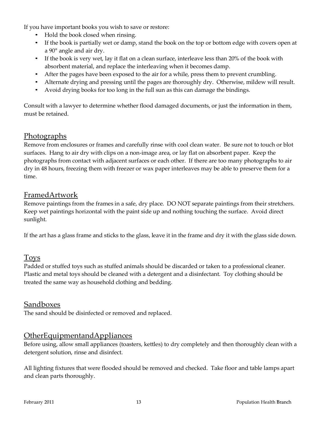If you have important books you wish to save or restore:

- Hold the book closed when rinsing.
- If the book is partially wet or damp, stand the book on the top or bottom edge with covers open at a 90° angle and air dry.
- If the book is very wet, lay it flat on a clean surface, interleave less than 20% of the book with absorbent material, and replace the interleaving when it becomes damp.
- After the pages have been exposed to the air for a while, press them to prevent crumbling.
- Alternate drying and pressing until the pages are thoroughly dry. Otherwise, mildew will result.
- Avoid drying books for too long in the full sun as this can damage the bindings.

Consult with a lawyer to determine whether flood damaged documents, or just the information in them, must be retained.

#### Photographs

Remove from enclosures or frames and carefully rinse with cool clean water. Be sure not to touch or blot surfaces. Hang to air dry with clips on a non-image area, or lay flat on absorbent paper. Keep the photographs from contact with adjacent surfaces or each other. If there are too many photographs to air dry in 48 hours, freezing them with freezer or wax paper interleaves may be able to preserve them for a time.

#### FramedArtwork

Remove paintings from the frames in a safe, dry place. DO NOT separate paintings from their stretchers. Keep wet paintings horizontal with the paint side up and nothing touching the surface. Avoid direct sunlight.

If the art has a glass frame and sticks to the glass, leave it in the frame and dry it with the glass side down.

#### Toys

Padded or stuffed toys such as stuffed animals should be discarded or taken to a professional cleaner. Plastic and metal toys should be cleaned with a detergent and a disinfectant. Toy clothing should be treated the same way as household clothing and bedding.

#### Sandboxes

The sand should be disinfected or removed and replaced.

#### OtherEquipmentandAppliances

Before using, allow small appliances (toasters, kettles) to dry completely and then thoroughly clean with a detergent solution, rinse and disinfect.

All lighting fixtures that were flooded should be removed and checked. Take floor and table lamps apart and clean parts thoroughly.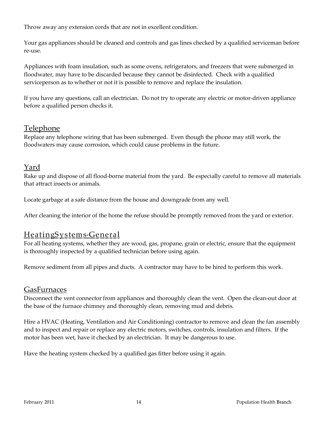Throw away any extension cords that are not in excellent condition.

Your gas appliances should be cleaned and controls and gas lines checked by a qualified serviceman before re-use.

Appliances with foam insulation, such as some ovens, refrigerators, and freezers that were submerged in floodwater, may have to be discarded because they cannot be disinfected. Check with a qualified serviceperson as to whether or not it is possible to remove and replace the insulation.

If you have any questions, call an electrician. Do not try to operate any electric or motor-driven appliance before a qualified person checks it.

### **Telephone**

Replace any telephone wiring that has been submerged. Even though the phone may still work, the floodwaters may cause corrosion, which could cause problems in the future.

#### Yard

Rake up and dispose of all flood-borne material from the yard. Be especially careful to remove all materials that attract insects or animals.

Locate garbage at a safe distance from the house and downgrade from any well.

After cleaning the interior of the home the refuse should be promptly removed from the yard or exterior.

### HeatingS ystems-General

For all heating systems, whether they are wood, gas, propane, grain or electric, ensure that the equipment is thoroughly inspected by a qualified technician before using again.

Remove sediment from all pipes and ducts. A contractor may have to be hired to perform this work.

#### GasFurnaces

Disconnect the vent connector from appliances and thoroughly clean the vent. Open the clean-out door at the base of the furnace chimney and thoroughly clean, removing mud and debris.

Hire a HVAC (Heating, Ventilation and Air Conditioning) contractor to remove and clean the fan assembly and to inspect and repair or replace any electric motors, switches, controls, insulation and filters. If the motor has been wet, have it checked by an electrician. It may be dangerous to use.

Have the heating system checked by a qualified gas fitter before using it again.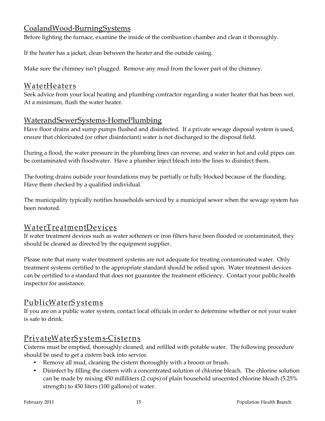## CoalandWood-BurningSystems

Before lighting the furnace, examine the inside of the combustion chamber and clean it thoroughly.

If the heater has a jacket, clean between the heater and the outside casing.

Make sure the chimney isn't plugged. Remove any mud from the lower part of the chimney.

# WaterHeaters

Seek advice from your local heating and plumbing contractor regarding a water heater that has been wet. At a minimum, flush the water heater.

# WaterandSewerSystems-HomePlumbing

Have floor drains and sump pumps flushed and disinfected. If a private sewage disposal system is used, ensure that chlorinated (or other disinfectant) water is not discharged to the disposal field.

During a flood, the water pressure in the plumbing lines can reverse, and water in hot and cold pipes can be contaminated with floodwater. Have a plumber inject bleach into the lines to disinfect them.

The footing drains outside your foundations may be partially or fully blocked because of the flooding. Have them checked by a qualified individual.

The municipality typically notifies households serviced by a municipal sewer when the sewage system has been restored.

# WaterTreatmentDevices

If water treatment devices such as water softeners or iron filters have been flooded or contaminated, they should be cleaned as directed by the equipment supplier.

Please note that many water treatment systems are not adequate for treating contaminated water. Only treatment systems certified to the appropriate standard should be relied upon. Water treatment devices can be certified to a standard that does not guarantee the treatment efficiency. Contact your public health inspector for assistance.

# <u>PublicWaterS y stems</u>

If you are on a public water system, contact local officials in order to determine whether or not your water is safe to drink.

# <u>PrivateWaterSystems-Cisterns</u>

Cisterns must be emptied, thoroughly cleaned, and refilled with potable water. The following procedure should be used to get a cistern back into service.

- Remove all mud, cleaning the cistern thoroughly with a broom or brush.
- Disinfect by filling the cistern with a concentrated solution of chlorine bleach. The chlorine solution can be made by mixing 450 milliliters (2 cups) of plain household unscented chlorine bleach (5.25% strength) to 450 liters (100 gallons) of water.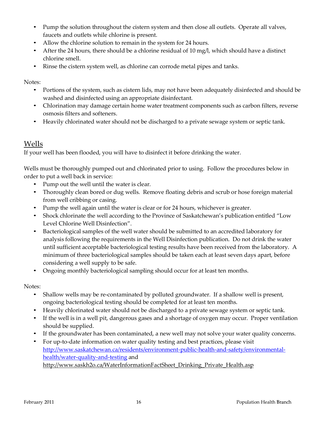- Pump the solution throughout the cistern system and then close all outlets. Operate all valves, faucets and outlets while chlorine is present.
- Allow the chlorine solution to remain in the system for 24 hours.
- After the 24 hours, there should be a chlorine residual of 10 mg/l, which should have a distinct chlorine smell.
- Rinse the cistern system well, as chlorine can corrode metal pipes and tanks.

Notes:

- Portions of the system, such as cistern lids, may not have been adequately disinfected and should be washed and disinfected using an appropriate disinfectant.
- Chlorination may damage certain home water treatment components such as carbon filters, reverse osmosis filters and softeners.
- Heavily chlorinated water should not be discharged to a private sewage system or septic tank.

### Wells

If your well has been flooded, you will have to disinfect it before drinking the water.

Wells must be thoroughly pumped out and chlorinated prior to using. Follow the procedures below in order to put a well back in service:

- Pump out the well until the water is clear.
- Thoroughly clean bored or dug wells. Remove floating debris and scrub or hose foreign material from well cribbing or casing.
- Pump the well again until the water is clear or for 24 hours, whichever is greater.
- Shock chlorinate the well according to the Province of Saskatchewan's publication entitled "Low Level Chlorine Well Disinfection".
- Bacteriological samples of the well water should be submitted to an accredited laboratory for analysis following the requirements in the Well Disinfection publication. Do not drink the water until sufficient acceptable bacteriological testing results have been received from the laboratory. A minimum of three bacteriological samples should be taken each at least seven days apart, before considering a well supply to be safe.
- Ongoing monthly bacteriological sampling should occur for at least ten months.

Notes:

- Shallow wells may be re-contaminated by polluted groundwater. If a shallow well is present, ongoing bacteriological testing should be completed for at least ten months.
- Heavily chlorinated water should not be discharged to a private sewage system or septic tank.
- If the well is in a well pit, dangerous gases and a shortage of oxygen may occur. Proper ventilation should be supplied.
- If the groundwater has been contaminated, a new well may not solve your water quality concerns.
- For up-to-date information on water quality testing and best practices, please visit [http://www.saskatchewan.ca/residents/environment-public-health-and-safety/environmental](http://www.saskatchewan.ca/residents/environment-public-health-and-safety/environmental-health/water-quality-and-testing)[health/water-quality-and-testing](http://www.saskatchewan.ca/residents/environment-public-health-and-safety/environmental-health/water-quality-and-testing) and [http://www.saskh2o.ca/WaterInformationFactSheet\\_Drinking\\_Private\\_Health.asp](http://www.saskh2o.ca/WaterInformationFactSheet_Drinking_Private_Health.asp)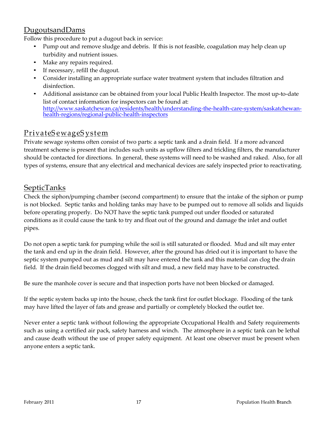#### DugoutsandDams

Follow this procedure to put a dugout back in service:

- Pump out and remove sludge and debris. If this is not feasible, coagulation may help clean up turbidity and nutrient issues.
- Make any repairs required.
- If necessary, refill the dugout.
- Consider installing an appropriate surface water treatment system that includes filtration and disinfection.
- Additional assistance can be obtained from your local Public Health Inspector. The most up-to-date list of contact information for inspectors can be found at: [http://www.saskatchewan.ca/residents/health/understanding-the-health-care-system/saskatchewan](http://www.saskatchewan.ca/residents/health/understanding-the-health-care-system/saskatchewan-health-regions/regional-public-health-inspectors)[health-regions/regional-public-health-inspectors](http://www.saskatchewan.ca/residents/health/understanding-the-health-care-system/saskatchewan-health-regions/regional-public-health-inspectors)

# PrivateS ewageS ystem

Private sewage systems often consist of two parts: a septic tank and a drain field. If a more advanced treatment scheme is present that includes such units as upflow filters and trickling filters, the manufacturer should be contacted for directions. In general, these systems will need to be washed and raked. Also, for all types of systems, ensure that any electrical and mechanical devices are safely inspected prior to reactivating.

### SepticTanks

Check the siphon/pumping chamber (second compartment) to ensure that the intake of the siphon or pump is not blocked. Septic tanks and holding tanks may have to be pumped out to remove all solids and liquids before operating properly. Do NOT have the septic tank pumped out under flooded or saturated conditions as it could cause the tank to try and float out of the ground and damage the inlet and outlet pipes.

Do not open a septic tank for pumping while the soil is still saturated or flooded. Mud and silt may enter the tank and end up in the drain field. However, after the ground has dried out it is important to have the septic system pumped out as mud and silt may have entered the tank and this material can clog the drain field. If the drain field becomes clogged with silt and mud, a new field may have to be constructed.

Be sure the manhole cover is secure and that inspection ports have not been blocked or damaged.

If the septic system backs up into the house, check the tank first for outlet blockage. Flooding of the tank may have lifted the layer of fats and grease and partially or completely blocked the outlet tee.

Never enter a septic tank without following the appropriate Occupational Health and Safety requirements such as using a certified air pack, safety harness and winch. The atmosphere in a septic tank can be lethal and cause death without the use of proper safety equipment. At least one observer must be present when anyone enters a septic tank.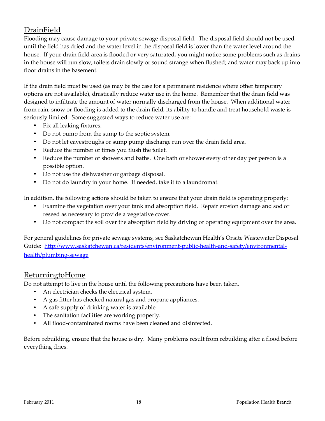# DrainField

Flooding may cause damage to your private sewage disposal field. The disposal field should not be used until the field has dried and the water level in the disposal field is lower than the water level around the house. If your drain field area is flooded or very saturated, you might notice some problems such as drains in the house will run slow; toilets drain slowly or sound strange when flushed; and water may back up into floor drains in the basement.

If the drain field must be used (as may be the case for a permanent residence where other temporary options are not available), drastically reduce water use in the home. Remember that the drain field was designed to infiltrate the amount of water normally discharged from the house. When additional water from rain, snow or flooding is added to the drain field, its ability to handle and treat household waste is seriously limited. Some suggested ways to reduce water use are:

- Fix all leaking fixtures.
- Do not pump from the sump to the septic system.
- Do not let eavestroughs or sump pump discharge run over the drain field area.
- Reduce the number of times you flush the toilet.
- Reduce the number of showers and baths. One bath or shower every other day per person is a possible option.
- Do not use the dishwasher or garbage disposal.
- Do not do laundry in your home. If needed, take it to a laundromat.

In addition, the following actions should be taken to ensure that your drain field is operating properly:

- Examine the vegetation over your tank and absorption field. Repair erosion damage and sod or reseed as necessary to provide a vegetative cover.
- Do not compact the soil over the absorption field by driving or operating equipment over the area.

For general guidelines for private sewage systems, see Saskatchewan Health's Onsite Wastewater Disposal Guide: [http://www.saskatchewan.ca/residents/environment-public-health-and-safety/environmental](http://www.saskatchewan.ca/residents/environment-public-health-and-safety/environmental-health/plumbing-sewage)[health/plumbing-sewage](http://www.saskatchewan.ca/residents/environment-public-health-and-safety/environmental-health/plumbing-sewage)

#### ReturningtoHome

Do not attempt to live in the house until the following precautions have been taken.

- An electrician checks the electrical system.
- A gas fitter has checked natural gas and propane appliances.
- A safe supply of drinking water is available.
- The sanitation facilities are working properly.
- All flood-contaminated rooms have been cleaned and disinfected.

Before rebuilding, ensure that the house is dry. Many problems result from rebuilding after a flood before everything dries.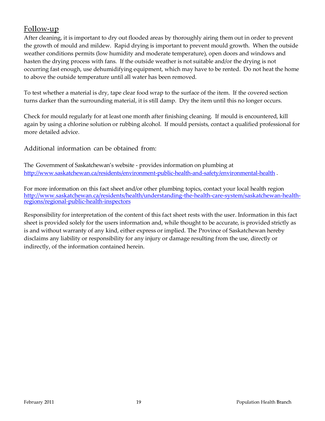#### Follow-up

After cleaning, it is important to dry out flooded areas by thoroughly airing them out in order to prevent the growth of mould and mildew. Rapid drying is important to prevent mould growth. When the outside weather conditions permits (low humidity and moderate temperature), open doors and windows and hasten the drying process with fans. If the outside weather is not suitable and/or the drying is not occurring fast enough, use dehumidifying equipment, which may have to be rented. Do not heat the home to above the outside temperature until all water has been removed.

To test whether a material is dry, tape clear food wrap to the surface of the item. If the covered section turns darker than the surrounding material, it is still damp. Dry the item until this no longer occurs.

Check for mould regularly for at least one month after finishing cleaning. If mould is encountered, kill again by using a chlorine solution or rubbing alcohol. If mould persists, contact a qualified professional for more detailed advice.

Additional information can be obtained from:

The Government of Saskatchewan's website - provides information on plumbing at <http://www.saskatchewan.ca/residents/environment-public-health-and-safety/environmental-health>.

For more information on this fact sheet and/or other plumbing topics, contact your local health region [http://www.saskatchewan.ca/residents/health/understanding-the-health-care-system/saskatchewan-health](http://www.saskatchewan.ca/residents/health/understanding-the-health-care-system/saskatchewan-health-regions/regional-public-health-inspectors)[regions/regional-public-health-inspectors](http://www.saskatchewan.ca/residents/health/understanding-the-health-care-system/saskatchewan-health-regions/regional-public-health-inspectors)

Responsibility for interpretation of the content of this fact sheet rests with the user. Information in this fact sheet is provided solely for the users information and, while thought to be accurate, is provided strictly as is and without warranty of any kind, either express or implied. The Province of Saskatchewan hereby disclaims any liability or responsibility for any injury or damage resulting from the use, directly or indirectly, of the information contained herein.